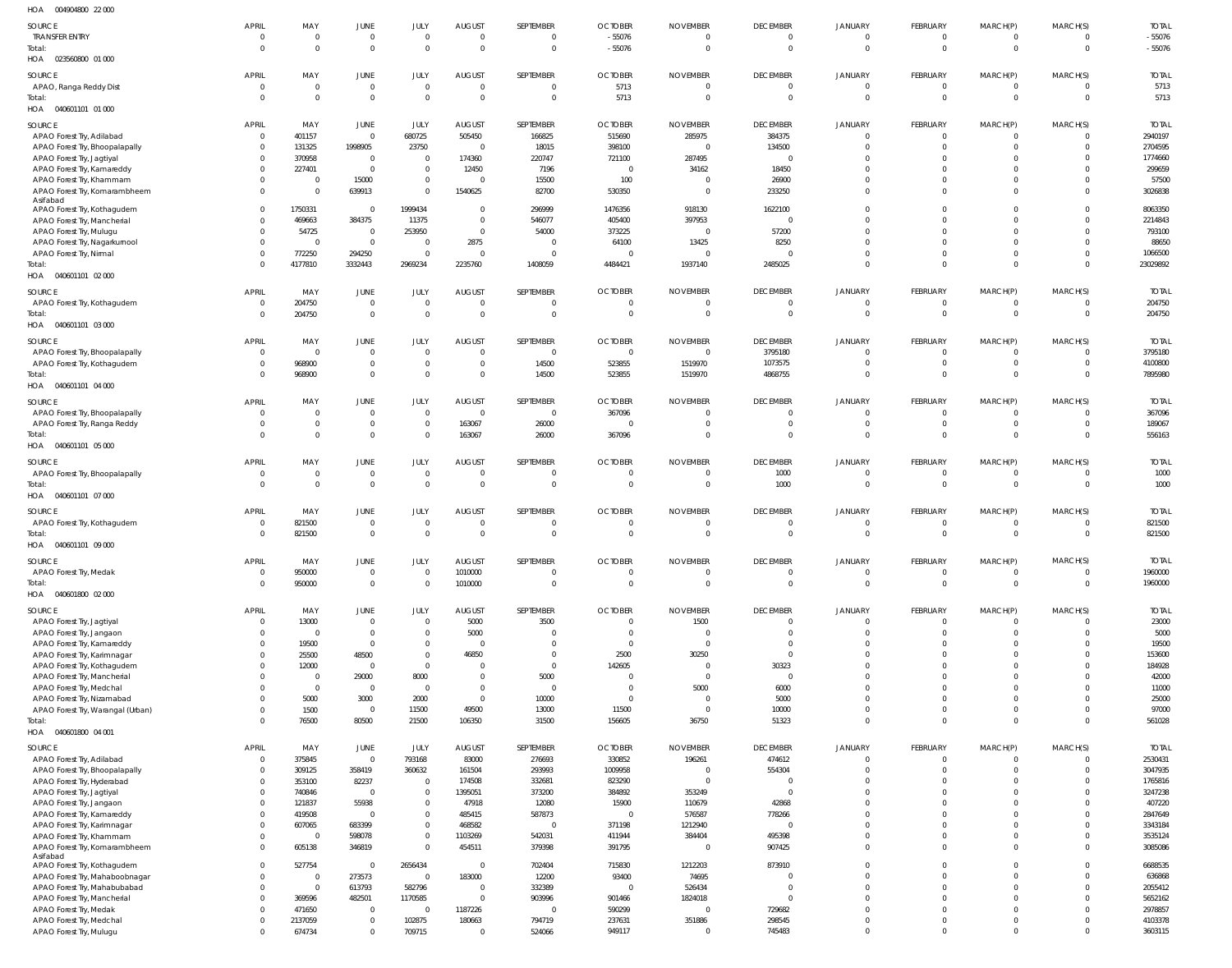| HOA   004904800   22 000                                    |                              |                                  |                               |                            |                                            |                 |                         |                          |                      |                          |                                  |                              |                                  |                     |
|-------------------------------------------------------------|------------------------------|----------------------------------|-------------------------------|----------------------------|--------------------------------------------|-----------------|-------------------------|--------------------------|----------------------|--------------------------|----------------------------------|------------------------------|----------------------------------|---------------------|
| SOURCE                                                      | <b>APRIL</b>                 | MAY                              | JUNE                          | JULY                       | <b>AUGUST</b>                              | SEPTEMBER       | <b>OCTOBER</b>          | <b>NOVEMBER</b>          | <b>DECEMBER</b>      | <b>JANUARY</b>           | FEBRUARY                         | MARCH(P)                     | MARCH(S)                         | <b>TOTAL</b>        |
| <b>TRANSFER ENTRY</b>                                       | $^{\circ}$                   | $\overline{0}$                   | 0                             | $\overline{0}$             | $\overline{0}$                             | $\Omega$        | $-55076$                | 0                        | $\mathbf 0$          | $\overline{0}$           | $\overline{0}$                   | $\mathbf 0$                  | $\Omega$                         | $-55076$            |
| Total:<br>HOA 023560800 01 000                              | $\Omega$                     | $\overline{0}$                   | $\mathbf 0$                   | $\Omega$                   | $\overline{0}$                             | $\overline{0}$  | $-55076$                | $\overline{0}$           | $\mathbf 0$          | $\mathbf 0$              | $\overline{0}$                   | $\overline{0}$               | $\overline{0}$                   | $-55076$            |
| SOURCE                                                      | <b>APRIL</b>                 | MAY                              | JUNE                          | JULY                       | <b>AUGUST</b>                              | SEPTEMBER       | <b>OCTOBER</b>          | <b>NOVEMBER</b>          | <b>DECEMBER</b>      | <b>JANUARY</b>           | FEBRUARY                         | MARCH(P)                     | MARCH(S)                         | <b>TOTAL</b>        |
| APAO, Ranga Reddy Dist                                      | $\Omega$                     | $\overline{0}$                   | $\mathbf 0$                   | $\Omega$                   | $\overline{0}$                             | $\overline{0}$  | 5713                    | $\mathbf 0$              | $\overline{0}$       | $\overline{0}$           | $\overline{0}$                   | $\mathbf{0}$                 | $\Omega$                         | 5713                |
| Total:                                                      | $\Omega$                     | $\overline{0}$                   | $\mathbf 0$                   | $\Omega$                   | $\overline{0}$                             | $\Omega$        | 5713                    | $\Omega$                 | $\Omega$             | $\overline{0}$           | $\Omega$                         | $\mathbf{0}$                 | $\Omega$                         | 5713                |
| HOA  040601101  01  000                                     |                              |                                  |                               |                            |                                            |                 |                         |                          |                      |                          |                                  |                              |                                  |                     |
| SOURCE                                                      | <b>APRIL</b>                 | MAY                              | JUNE                          | JULY                       | AUGUST                                     | SEPTEMBER       | <b>OCTOBER</b>          | NOVEMBER                 | <b>DECEMBER</b>      | <b>JANUARY</b>           | FEBRUARY                         | MARCH(P)                     | MARCH(S)                         | <b>TOTAL</b>        |
| APAO Forest Try, Adilabad<br>APAO Forest Try, Bhoopalapally | $\mathbf{0}$<br>$\mathbf{0}$ | 401157<br>131325                 | $\overline{0}$<br>1998905     | 680725<br>23750            | 505450<br>$\overline{\mathbf{0}}$          | 166825<br>18015 | 515690<br>398100        | 285975<br>$\overline{0}$ | 384375<br>134500     | $\overline{0}$<br>0      | $\overline{0}$<br>$\overline{0}$ | $\mathbf{0}$<br>$\mathbf{0}$ | $\Omega$<br>$\Omega$             | 2940197<br>2704595  |
| APAO Forest Try, Jagtiyal                                   | $\Omega$                     | 370958                           | $\overline{\mathbf{0}}$       | $\mathbf 0$                | 174360                                     | 220747          | 721100                  | 287495                   | - 0                  | $\Omega$                 | $\Omega$                         | $\Omega$                     | $\Omega$                         | 1774660             |
| APAO Forest Try, Kamareddy                                  | $\Omega$                     | 227401                           | $\overline{0}$                | $\overline{0}$             | 12450                                      | 7196            | $\overline{0}$          | 34162                    | 18450                | $\Omega$                 | $\Omega$                         | $\Omega$                     | $\Omega$                         | 299659              |
| APAO Forest Try, Khammam                                    | $\Omega$                     | $\overline{\mathbf{0}}$          | 15000                         | $\overline{0}$             | $\overline{\mathbf{0}}$                    | 15500           | 100                     | $\mathbf 0$              | 26900                | $\Omega$                 | -0                               | $\Omega$                     | $\Omega$                         | 57500               |
| APAO Forest Try, Komarambheem<br>Asifabad                   | $\Omega$                     | - 0                              | 639913                        | $\Omega$                   | 1540625                                    | 82700           | 530350                  | $\mathbf 0$              | 233250               | $\Omega$                 | $\Omega$                         | $\Omega$                     | $\Omega$                         | 3026838             |
| APAO Forest Try, Kothagudem                                 | $\Omega$                     | 1750331                          | $\overline{0}$                | 1999434                    | $\overline{\mathbf{0}}$                    | 296999          | 1476356                 | 918130                   | 1622100              | $\Omega$                 | $\Omega$                         | $\Omega$                     | $\Omega$                         | 8063350             |
| APAO Forest Try, Mancherial                                 | $\Omega$                     | 469663                           | 384375                        | 11375                      | $\overline{\phantom{0}}$                   | 546077          | 405400                  | 397953                   | $\overline{0}$       | $\Omega$                 | $\Omega$                         | $\Omega$                     | $\Omega$                         | 2214843             |
| APAO Forest Try, Mulugu                                     | $\Omega$                     | 54725                            | $\overline{0}$                | 253950                     | $\overline{0}$                             | 54000           | 373225                  | $\Omega$                 | 57200                | $\Omega$                 | $\Omega$                         | $\Omega$                     | $\Omega$                         | 793100              |
| APAO Forest Try, Nagarkurnool                               | $\Omega$<br>$\Omega$         | $\overline{0}$                   | $\overline{0}$                | $\Omega$<br>$\Omega$       | 2875<br>$\overline{0}$                     | - 0<br>$\Omega$ | 64100<br>$\Omega$       | 13425<br>$\Omega$        | 8250<br>- 0          | $\Omega$<br>$\Omega$     | $\Omega$<br>$^{\circ}$           | $\Omega$<br>$\Omega$         | $\Omega$<br>$\Omega$             | 88650               |
| APAO Forest Try, Nirmal<br>Total:                           | $\Omega$                     | 772250<br>4177810                | 294250<br>3332443             | 2969234                    | 2235760                                    | 1408059         | 4484421                 | 1937140                  | 2485025              | $\Omega$                 | $\Omega$                         | $\mathbf{0}$                 | $\Omega$                         | 1066500<br>23029892 |
| HOA   040601101   02   000                                  |                              |                                  |                               |                            |                                            |                 |                         |                          |                      |                          |                                  |                              |                                  |                     |
| SOURCE                                                      | APRIL                        | MAY                              | JUNE                          | JULY                       | <b>AUGUST</b>                              | SEPTEMBER       | <b>OCTOBER</b>          | <b>NOVEMBER</b>          | <b>DECEMBER</b>      | <b>JANUARY</b>           | FEBRUARY                         | MARCH(P)                     | MARCH(S)                         | <b>TOTAL</b>        |
| APAO Forest Try, Kothagudem                                 | $^{\circ}$                   | 204750                           | $\mathbf 0$                   | $\Omega$                   | $\overline{0}$                             | $\Omega$        | $\Omega$                | $\Omega$                 | $\mathbf 0$          | $\overline{0}$           | $\overline{0}$                   | $\mathbf{0}$                 | $\Omega$                         | 204750              |
| Total:                                                      | $\Omega$                     | 204750                           | $\mathbb O$                   | $\Omega$                   | $\overline{0}$                             | $\overline{0}$  | $\Omega$                | $\mathbf 0$              | $\overline{0}$       | $\overline{0}$           | $\overline{0}$                   | $\mathbf{0}$                 | $\overline{0}$                   | 204750              |
| HOA  040601101  03  000                                     |                              |                                  |                               |                            |                                            |                 |                         |                          |                      |                          |                                  |                              |                                  |                     |
| SOURCE                                                      | APRIL                        | MAY                              | <b>JUNE</b>                   | JULY                       | <b>AUGUST</b>                              | SEPTEMBER       | <b>OCTOBER</b>          | <b>NOVEMBER</b>          | <b>DECEMBER</b>      | <b>JANUARY</b>           | FEBRUARY                         | MARCH(P)                     | MARCH(S)                         | <b>TOTAL</b>        |
| APAO Forest Try, Bhoopalapally                              | $^{\circ}$                   | $\overline{0}$                   | $\overline{0}$                | $\overline{0}$             | $\overline{0}$                             | $\Omega$        | $\overline{0}$          | $\overline{0}$           | 3795180              | 0                        | $\overline{0}$                   | 0                            | $\Omega$                         | 3795180             |
| APAO Forest Try, Kothagudem                                 | $\Omega$<br>$\Omega$         | 968900                           | $\overline{0}$<br>$\mathbb O$ | $\overline{0}$<br>$\Omega$ | $\overline{\phantom{0}}$<br>$\overline{0}$ | 14500           | 523855                  | 1519970                  | 1073575              | $\mathbf{0}$<br>$\Omega$ | $\overline{0}$<br>$\Omega$       | $\mathbf 0$<br>$\mathbf 0$   | $\overline{0}$<br>$\overline{0}$ | 4100800<br>7895980  |
| Total:<br>HOA  040601101  04  000                           |                              | 968900                           |                               |                            |                                            | 14500           | 523855                  | 1519970                  | 4868755              |                          |                                  |                              |                                  |                     |
| SOURCE                                                      | <b>APRIL</b>                 | MAY                              | JUNE                          | JULY                       | <b>AUGUST</b>                              | SEPTEMBER       | <b>OCTOBER</b>          | <b>NOVEMBER</b>          | <b>DECEMBER</b>      | <b>JANUARY</b>           | FEBRUARY                         | MARCH(P)                     | MARCH(S)                         | <b>TOTAL</b>        |
| APAO Forest Try, Bhoopalapally                              | $\Omega$                     | $\overline{0}$                   | $\mathbf 0$                   | $\Omega$                   | $\overline{\mathbf{0}}$                    | $\Omega$        | 367096                  | $\Omega$                 | $\Omega$             | $\Omega$                 | - 0                              | $\Omega$                     | $\Omega$                         | 367096              |
| APAO Forest Try, Ranga Reddy                                |                              | $\overline{0}$                   | $\overline{0}$                | $\Omega$                   | 163067                                     | 26000           | $\Omega$                | $\Omega$                 | $\mathbf 0$          | $\mathbf{0}$             | $\overline{0}$                   | $\mathbf{0}$                 | $\Omega$                         | 189067              |
| Total:<br>HOA  040601101  05  000                           |                              | $\overline{0}$                   | $\mathbf 0$                   | $\Omega$                   | 163067                                     | 26000           | 367096                  | $\Omega$                 | $\Omega$             | $\Omega$                 | $\Omega$                         | $\mathbf 0$                  | $\Omega$                         | 556163              |
| SOURCE                                                      | <b>APRIL</b>                 | MAY                              | JUNE                          | JULY                       | <b>AUGUST</b>                              | SEPTEMBER       | <b>OCTOBER</b>          | <b>NOVEMBER</b>          | <b>DECEMBER</b>      | <b>JANUARY</b>           | FEBRUARY                         | MARCH(P)                     | MARCH(S)                         | <b>TOTAL</b>        |
| APAO Forest Try, Bhoopalapally                              | $\Omega$                     | $\overline{0}$                   | $\overline{0}$                | $\Omega$                   | $\overline{0}$                             | - 0             | $\Omega$                | $\Omega$                 | 1000                 | $\overline{0}$           | $\overline{0}$                   | $\mathbf{0}$                 | $\Omega$                         | 1000                |
| Total:                                                      | $\Omega$                     | $\overline{0}$                   | $\mathbb O$                   | $\Omega$                   | $\overline{0}$                             | $\Omega$        | $\Omega$                | $\overline{0}$           | 1000                 | $\overline{0}$           | $\overline{0}$                   | $\overline{0}$               | $\overline{0}$                   | 1000                |
| HOA   040601101   07   000                                  |                              |                                  |                               |                            |                                            |                 |                         |                          |                      |                          |                                  |                              |                                  |                     |
| SOURCE                                                      | APRIL                        | MAY                              | JUNE                          | JULY                       | <b>AUGUST</b>                              | SEPTEMBER       | <b>OCTOBER</b>          | <b>NOVEMBER</b>          | <b>DECEMBER</b>      | <b>JANUARY</b>           | FEBRUARY                         | MARCH(P)                     | MARCH(S)                         | <b>TOTAL</b>        |
| APAO Forest Try, Kothagudem                                 |                              | 821500                           | $\mathbf 0$                   | $\Omega$                   | $\overline{0}$                             |                 |                         | $\Omega$                 | 0                    | $\Omega$                 | - 0                              | 0                            | $\Omega$                         | 821500              |
| Total:<br>HOA  040601101  09  000                           |                              | 821500                           | $\mathbf 0$                   | $\Omega$                   | $\overline{0}$                             | $\Omega$        | $\Omega$                | $\Omega$                 | $\overline{0}$       | $\overline{0}$           | $\Omega$                         | $\mathbf{0}$                 | $\overline{0}$                   | 821500              |
| SOURCE                                                      | <b>APRIL</b>                 | MAY                              | <b>JUNE</b>                   | JULY                       | <b>AUGUST</b>                              | SEPTEMBER       | <b>OCTOBER</b>          | <b>NOVEMBER</b>          | <b>DECEMBER</b>      | <b>JANUARY</b>           | FEBRUARY                         | MARCH(P)                     | MARCH(S)                         | <b>TOTAL</b>        |
| APAO Forest Try, Medak                                      | $\Omega$                     | 950000                           | $\overline{0}$                | $\Omega$                   | 1010000                                    | - 0             | $\Omega$                | 0                        | $\mathbf 0$          | $\overline{0}$           | $\overline{0}$                   | $\mathbf{0}$                 | $\Omega$                         | 1960000             |
| Total:                                                      |                              | 950000                           | $\mathbb O$                   | $\Omega$                   | 1010000                                    | $\Omega$        | $\Omega$                | $\mathbf 0$              | $\overline{0}$       | $\mathbf{0}$             | $\overline{0}$                   | $\mathbf{0}$                 | $\overline{0}$                   | 1960000             |
| HOA  040601800  02  000                                     |                              |                                  |                               |                            |                                            |                 |                         |                          |                      |                          |                                  |                              |                                  |                     |
| SOURCE                                                      | <b>APRIL</b>                 | MAY                              | JUNE                          | JULY                       | <b>AUGUST</b>                              | SEPTEMBER       | <b>OCTOBER</b>          | <b>NOVEMBER</b>          | <b>DECEMBER</b>      | <b>JANUARY</b>           | FEBRUARY                         | MARCH(P)                     | MARCH(S)                         | <b>TOTAL</b>        |
| APAO Forest Try, Jagtiyal                                   | $\Omega$                     | 13000                            | $\overline{0}$                | $\Omega$                   | 5000                                       | 3500            | $\Omega$                | 1500                     | $\overline{0}$       | $\mathbf{0}$             | $\overline{0}$                   | $\mathbf{0}$                 | $\Omega$                         | 23000               |
| APAO Forest Try, Jangaon                                    |                              | $\overline{\mathbf{0}}$<br>19500 | $\mathbf 0$<br>$\mathbf 0$    | $\Omega$<br>$\Omega$       | 5000<br>$\overline{0}$                     |                 | $\Omega$<br>$\Omega$    | $\Omega$                 | $\Omega$<br>$\Omega$ | $\Omega$<br>$\mathbf 0$  | $\Omega$<br>$\Omega$             | $\Omega$<br>$\Omega$         | $\Omega$<br>$\Omega$             | 5000<br>19500       |
| APAO Forest Try, Kamareddy<br>APAO Forest Try, Karimnagar   |                              | 25500                            | 48500                         | $\Omega$                   | 46850                                      |                 | 2500                    | 30250                    | $\Omega$             | $\Omega$                 | $\Omega$                         | $\Omega$                     | $\Omega$                         | 153600              |
| APAO Forest Try, Kothagudem                                 |                              | 12000                            | $\overline{0}$                | $\Omega$                   | $\overline{0}$                             | $\Omega$        | 142605                  | $\overline{0}$           | 30323                | $\Omega$                 | $\Omega$                         | $\Omega$                     | $\Omega$                         | 184928              |
| APAO Forest Try, Mancherial                                 |                              | $\overline{0}$                   | 29000                         | 8000                       | $\Omega$                                   | 5000            |                         | $\Omega$                 | $\Omega$             | $\Omega$                 | $\Omega$                         | $\Omega$                     | $\Omega$                         | 42000               |
| APAO Forest Try, Medchal                                    |                              | $\overline{0}$                   | $\overline{0}$                | $\Omega$                   | $\overline{0}$                             | $\Omega$        | $\Omega$                | 5000                     | 6000                 | $\Omega$                 | $\Omega$                         | $\Omega$                     | $\Omega$                         | 11000               |
| APAO Forest Try, Nizamabad                                  |                              | 5000                             | 3000                          | 2000                       | $\overline{0}$                             | 10000           | $\Omega$                | $\mathbf 0$              | 5000                 | $\Omega$                 | $\Omega$                         | $\Omega$                     | $\Omega$<br>$\Omega$             | 25000               |
| APAO Forest Try, Warangal (Urban)<br>Total:                 |                              | 1500<br>76500                    | $\overline{0}$<br>80500       | 11500<br>21500             | 49500<br>106350                            | 13000<br>31500  | 11500<br>156605         | $\overline{0}$<br>36750  | 10000<br>51323       | $\mathbf 0$<br>$\Omega$  | $\mathbf 0$<br>$\Omega$          | $\mathbf{0}$<br>$\mathbf 0$  | $\Omega$                         | 97000<br>561028     |
| HOA  040601800  04  001                                     |                              |                                  |                               |                            |                                            |                 |                         |                          |                      |                          |                                  |                              |                                  |                     |
| SOURCE                                                      | <b>APRIL</b>                 | MAY                              | JUNE                          | JULY                       | <b>AUGUST</b>                              | SEPTEMBER       | <b>OCTOBER</b>          | <b>NOVEMBER</b>          | <b>DECEMBER</b>      | <b>JANUARY</b>           | FEBRUARY                         | MARCH(P)                     | MARCH(S)                         | <b>TOTAL</b>        |
| APAO Forest Try, Adilabad                                   | 0                            | 375845                           | $\overline{0}$                | 793168                     | 83000                                      | 276693          | 330852                  | 196261                   | 474612               | $\overline{0}$           | $\overline{0}$                   | $\mathbf{0}$                 | $\Omega$                         | 2530431             |
| APAO Forest Try, Bhoopalapally                              | $\mathbf{0}$                 | 309125                           | 358419                        | 360632                     | 161504                                     | 293993          | 1009958                 | $\mathbf{0}$             | 554304               | $\mathbf 0$              | $\overline{0}$                   | $\mathbf 0$                  | $\Omega$                         | 3047935             |
| APAO Forest Try, Hyderabad                                  | $\Omega$                     | 353100                           | 82237                         | $\overline{0}$             | 174508                                     | 332681          | 823290                  | $\Omega$                 | - 0                  | $\Omega$                 | $\Omega$                         | $\Omega$                     | $\Omega$                         | 1765816             |
| APAO Forest Try, Jagtiyal                                   | $\Omega$<br>$\Omega$         | 740846                           | $\overline{0}$<br>55938       | $\mathbf{0}$<br>$\Omega$   | 1395051                                    | 373200          | 384892                  | 353249                   | $\mathbf{0}$         | $\Omega$<br>$\Omega$     | $\Omega$<br>$\Omega$             | $\Omega$<br>$\Omega$         | $\Omega$<br>$\Omega$             | 3247238             |
| APAO Forest Try, Jangaon<br>APAO Forest Try, Kamareddy      | $\Omega$                     | 121837<br>419508                 | $\overline{0}$                | $\mathbf{0}$               | 47918<br>485415                            | 12080<br>587873 | 15900<br>$\overline{0}$ | 110679<br>576587         | 42868<br>778266      | $\Omega$                 | $\Omega$                         | $\Omega$                     | $\Omega$                         | 407220<br>2847649   |
| APAO Forest Try, Karimnagar                                 | $\Omega$                     | 607065                           | 683399                        | $\Omega$                   | 468582                                     | - 0             | 371198                  | 1212940                  | - 0                  | $\Omega$                 | $\Omega$                         | $\Omega$                     | $\Omega$                         | 3343184             |
| APAO Forest Try, Khammam                                    | $\Omega$                     | $\Omega$                         | 598078                        | $\mathbf{0}$               | 1103269                                    | 542031          | 411944                  | 384404                   | 495398               | $\mathbf 0$              | $^{\circ}$                       | $\mathbf 0$                  | $\Omega$                         | 3535124             |
| APAO Forest Try, Komarambheem                               | $\Omega$                     | 605138                           | 346819                        | $\Omega$                   | 454511                                     | 379398          | 391795                  | 0                        | 907425               | $\Omega$                 | $\Omega$                         | $\Omega$                     | $\Omega$                         | 3085086             |
| Asifabad<br>APAO Forest Try, Kothagudem                     | $\Omega$                     | 527754                           | $\overline{0}$                | 2656434                    | $\overline{\phantom{0}}$                   | 702404          | 715830                  | 1212203                  | 873910               | 0                        | -0                               | $\mathbf{0}$                 | $\Omega$                         | 6688535             |
| APAO Forest Try, Mahaboobnagar                              | $\Omega$                     | $\overline{\mathbf{0}}$          | 273573                        | $\overline{0}$             | 183000                                     | 12200           | 93400                   | 74695                    | 0                    | $\Omega$                 | $^{\circ}$                       | $\Omega$                     | $\Omega$                         | 636868              |
| APAO Forest Try, Mahabubabad                                | $\Omega$                     | $\overline{0}$                   | 613793                        | 582796                     | $\overline{\phantom{0}}$                   | 332389          | $\Omega$                | 526434                   | $\overline{0}$       | $\Omega$                 | $\Omega$                         | $\Omega$                     | $\Omega$                         | 2055412             |
| APAO Forest Try, Mancherial                                 | $\Omega$                     | 369596                           | 482501                        | 1170585                    | $\overline{\phantom{0}}$                   | 903996          | 901466                  | 1824018                  | - 0                  | $\Omega$                 | $\Omega$                         | $\Omega$                     | $\Omega$                         | 5652162             |
| APAO Forest Try, Medak                                      | $\Omega$<br>$\Omega$         | 471650<br>2137059                | $\overline{0}$<br>$\mathbf 0$ | $\overline{0}$<br>102875   | 1187226<br>180663                          | - 0<br>794719   | 590299<br>237631        | $\mathbf{0}$<br>351886   | 729682<br>298545     | $\Omega$<br>$\Omega$     | $\Omega$<br>-0                   | $\Omega$<br>$\mathbf{0}$     | $\Omega$<br>$\Omega$             | 2978857<br>4103378  |
| APAO Forest Try, Medchal<br>APAO Forest Try, Mulugu         | $\Omega$                     | 674734                           | $\mathbf 0$                   | 709715                     | $\overline{0}$                             | 524066          | 949117                  | $\overline{0}$           | 745483               | $\Omega$                 | $\Omega$                         | $\Omega$                     | $\Omega$                         | 3603115             |
|                                                             |                              |                                  |                               |                            |                                            |                 |                         |                          |                      |                          |                                  |                              |                                  |                     |